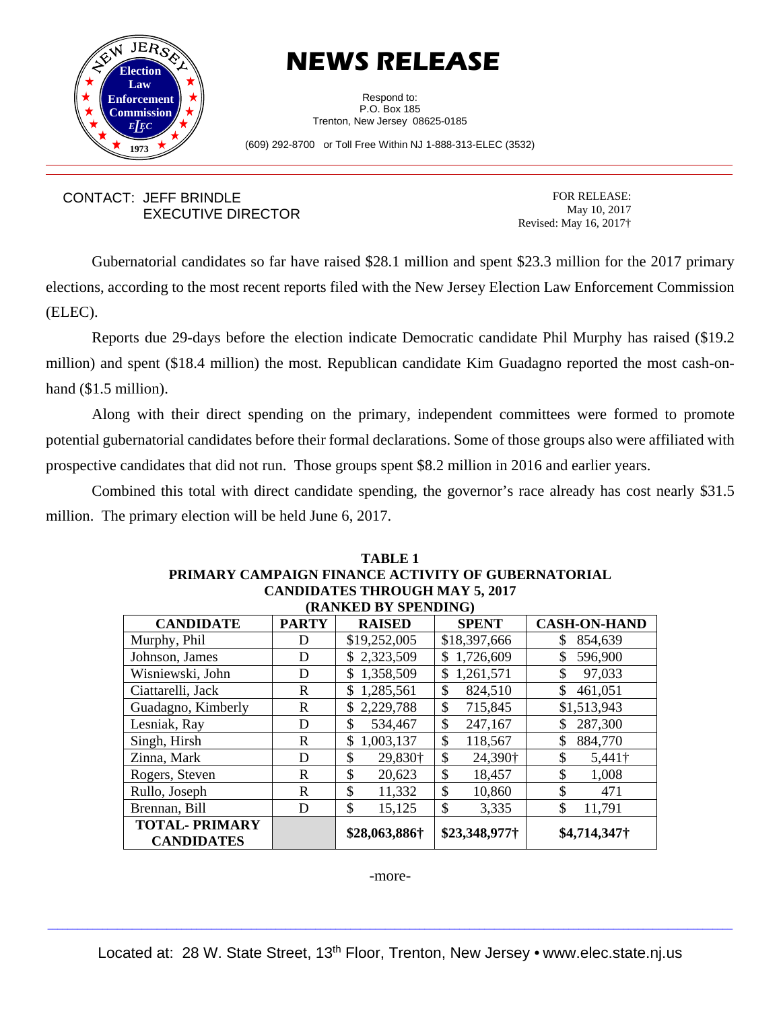

## **NEWS RELEASE**

Respond to: P.O. Box 185 Trenton, New Jersey 08625-0185

(609) 292-8700 or Toll Free Within NJ 1-888-313-ELEC (3532)

## CONTACT: JEFF BRINDLE EXECUTIVE DIRECTOR

FOR RELEASE: May 10, 2017 Revised: May 16, 2017†

Gubernatorial candidates so far have raised \$28.1 million and spent \$23.3 million for the 2017 primary elections, according to the most recent reports filed with the New Jersey Election Law Enforcement Commission (ELEC).

 Reports due 29-days before the election indicate Democratic candidate Phil Murphy has raised (\$19.2 million) and spent (\$18.4 million) the most. Republican candidate Kim Guadagno reported the most cash-onhand (\$1.5 million).

 Along with their direct spending on the primary, independent committees were formed to promote potential gubernatorial candidates before their formal declarations. Some of those groups also were affiliated with prospective candidates that did not run. Those groups spent \$8.2 million in 2016 and earlier years.

Combined this total with direct candidate spending, the governor's race already has cost nearly \$31.5 million. The primary election will be held June 6, 2017.

| PRIMARY CAMPAIGN FINANCE ACTIVITY OF GUBERNATORIAL |              |                |                           |                     |  |  |  |
|----------------------------------------------------|--------------|----------------|---------------------------|---------------------|--|--|--|
| <b>CANDIDATES THROUGH MAY 5, 2017</b>              |              |                |                           |                     |  |  |  |
| (RANKED BY SPENDING)                               |              |                |                           |                     |  |  |  |
| <b>CANDIDATE</b>                                   | <b>PARTY</b> | <b>RAISED</b>  | <b>SPENT</b>              | <b>CASH-ON-HAND</b> |  |  |  |
| Murphy, Phil                                       | D            | \$19,252,005   | \$18,397,666              | 854,639<br>S        |  |  |  |
| Johnson, James                                     | D            | \$2,323,509    | 1,726,609<br>$\mathbb{S}$ | 596,900             |  |  |  |
| Wisniewski, John                                   | D            | \$1,358,509    | 1,261,571<br>\$           | \$<br>97,033        |  |  |  |
| Ciattarelli, Jack                                  | R            | 1,285,561<br>S | \$<br>824,510             | 461,051             |  |  |  |
| Guadagno, Kimberly                                 | R            | 2,229,788      | \$<br>715,845             | \$1,513,943         |  |  |  |
| Lesniak, Ray                                       | D            | 534,467<br>\$  | \$<br>247,167             | 287,300             |  |  |  |
| Singh, Hirsh                                       | R            | 1,003,137<br>S | \$<br>118,567             | 884,770             |  |  |  |
| Zinna, Mark                                        | D            | \$<br>29,830+  | \$<br>24,390†             | \$<br>5,441†        |  |  |  |
| Rogers, Steven                                     | R            | \$<br>20,623   | \$<br>18,457              | \$<br>1,008         |  |  |  |
| Rullo, Joseph                                      | R            | \$<br>11,332   | \$<br>10,860              | \$<br>471           |  |  |  |
| Brennan, Bill                                      | D            | \$<br>15,125   | \$<br>3,335               | \$<br>11,791        |  |  |  |
| <b>TOTAL-PRIMARY</b>                               |              | \$28,063,886†  | \$23,348,977†             |                     |  |  |  |
| <b>CANDIDATES</b>                                  |              |                |                           | \$4,714,347†        |  |  |  |

## **TABLE 1 PRIMARY CAMPAIGN FINANCE ACTIVITY OF GUBERNATORIAL**

-more-

 $\_$  , and the state of the state of the state of the state of the state of the state of the state of the state of the state of the state of the state of the state of the state of the state of the state of the state of the